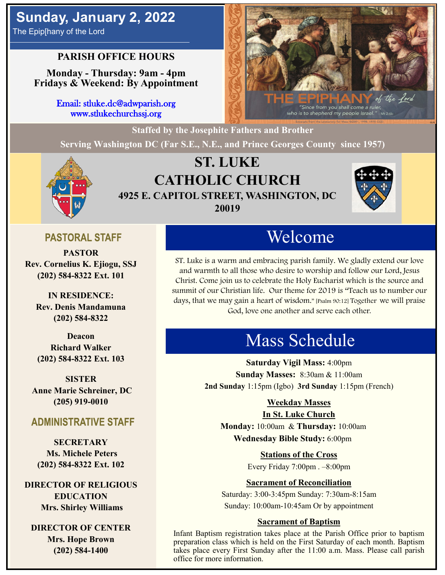## **PARISH OFFICE HOURS**

**Monday - Thursday: 9am - 4pm Fridays & Weekend: By Appointment**

> Email: stluke.dc@adwparish.org www.stlukechurchssj.org

of the lord "Since from you shall come a ruler,<br>who is to shepherd my people Israel." - Mt 2:6b

**Staffed by the Josephite Fathers and Brother**

**Serving Washington DC (Far S.E., N.E., and Prince Georges County since 1957)**



## **ST. LUKE CATHOLIC CHURCH 4925 E. CAPITOL STREET, WASHINGTON, DC 20019**



## **PASTORAL STAFF**

**PASTOR Rev. Cornelius K. Ejiogu, SSJ (202) 584-8322 Ext. 101**

**IN RESIDENCE: Rev. Denis Mandamuna (202) 584-8322** 

**Deacon Richard Walker (202) 584-8322 Ext. 103**

**SISTER Anne Marie Schreiner, DC (205) 919-0010**

### **ADMINISTRATIVE STAFF**

**SECRETARY Ms. Michele Peters (202) 584-8322 Ext. 102**

**DIRECTOR OF RELIGIOUS EDUCATION Mrs. Shirley Williams**

**DIRECTOR OF CENTER Mrs. Hope Brown (202) 584-1400**

# Welcome

ST. Luke is a warm and embracing parish family. We gladly extend our love and warmth to all those who desire to worship and follow our Lord, Jesus Christ. Come join us to celebrate the Holy Eucharist which is the source and summit of our Christian life. Our theme for 2019 is "Teach us to number our days, that we may gain a heart of wisdom." [Psalm 90:12] Together we will praise God, love one another and serve each other.

# Mass Schedule

**Saturday Vigil Mass:** 4:00pm **Sunday Masses:** 8:30am & 11:00am **2nd Sunday** 1:15pm (Igbo) **3rd Sunday** 1:15pm (French)

#### **Weekday Masses**

#### **In St. Luke Church**

**Monday:** 10:00am & **Thursday:** 10:00am **Wednesday Bible Study:** 6:00pm

**Stations of the Cross**

Every Friday 7:00pm . –8:00pm

#### **Sacrament of Reconciliation**

Saturday: 3:00-3:45pm Sunday: 7:30am-8:15am Sunday: 10:00am-10:45am Or by appointment

#### **Sacrament of Baptism**

Infant Baptism registration takes place at the Parish Office prior to baptism preparation class which is held on the First Saturday of each month. Baptism takes place every First Sunday after the 11:00 a.m. Mass. Please call parish office for more information.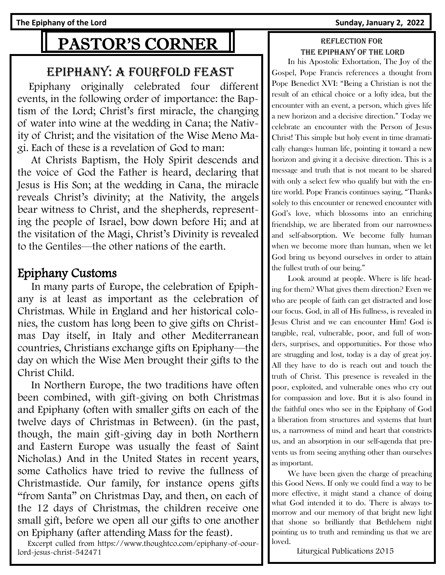**The Epiphany of the Lord Sunday, January 2, 2022**

# PASTOR'S CORNER

## EPIPHANY: a Fourfold feast

 Epiphany originally celebrated four different events, in the following order of importance: the Baptism of the Lord; Christ's first miracle, the changing of water into wine at the wedding in Cana; the Nativity of Christ; and the visitation of the Wise Meno Magi. Each of these is a revelation of God to man:

 At Christs Baptism, the Holy Spirit descends and the voice of God the Father is heard, declaring that Jesus is His Son; at the wedding in Cana, the miracle reveals Christ's divinity; at the Nativity, the angels bear witness to Christ, and the shepherds, representing the people of Israel, bow down before Hi; and at the visitation of the Magi, Christ's Divinity is revealed to the Gentiles—the other nations of the earth.

## Epiphany Customs

 In many parts of Europe, the celebration of Epiphany is at least as important as the celebration of Christmas. While in England and her historical colonies, the custom has long been to give gifts on Christmas Day itself, in Italy and other Mediterranean countries, Christians exchange gifts on Epiphany—the day on which the Wise Men brought their gifts to the Christ Child.

 In Northern Europe, the two traditions have often been combined, with gift-giving on both Christmas and Epiphany (often with smaller gifts on each of the twelve days of Christmas in Between). (in the past, though, the main gift-giving day in both Northern and Eastern Europe was usually the feast of Saint Nicholas.) And in the United States in recent years, some Catholics have tried to revive the fullness of Christmastide. Our family, for instance opens gifts "from Santa" on Christmas Day, and then, on each of the 12 days of Christmas, the children receive one small gift, before we open all our gifts to one another on Epiphany (after attending Mass for the feast).

 Excerpt culled from https://www.thoughtco.com/epiphany-of-oourlord-jesus-christ-542471

### Reflection for The epiphany of the lord

 In his Apostolic Exhortation, The Joy of the Gospel, Pope Francis references a thought from Pope Benedict XVI: "Being a Christian is not the result of an ethical choice or a lofty idea, but the encounter with an event, a person, which gives life a new horizon and a decisive direction." Today we celebrate an encounter with the Person of Jesus Christ! This simple but holy event in time dramatically changes human life, pointing it toward a new horizon and giving it a decisive direction. This is a message and truth that is not meant to be shared with only a select few who qualify but with the entire world. Pope Francis continues saying, "Thanks solely to this encounter or renewed encounter with God's love, which blossoms into an enriching friendship, we are liberated from our narrowness and self-absorption. We become fully human when we become more than human, when we let God bring us beyond ourselves in order to attain the fullest truth of our being."

 Look around at people. Where is life heading for them? What gives them direction? Even we who are people of faith can get distracted and lose our focus. God, in all of His fullness, is revealed in Jesus Christ and we can encounter Him! God is tangible, real, vulnerable, poor, and full of wonders, surprises, and opportunities. For those who are struggling and lost, today is a day of great joy. All they have to do is reach out and touch the truth of Christ. This presence is revealed in the poor, exploited, and vulnerable ones who cry out for compassion and love. But it is also found in the faithful ones who see in the Epiphany of God a liberation from structures and systems that hurt us, a narrowness of mind and heart that constricts us, and an absorption in our self-agenda that prevents us from seeing anything other than ourselves as important.

 We have been given the charge of preaching this Good News. If only we could find a way to be more effective, it might stand a chance of doing what God intended it to do. There is always tomorrow and our memory of that bright new light that shone so brilliantly that Bethlehem night pointing us to truth and reminding us that we are loved.

Liturgical Publications 2015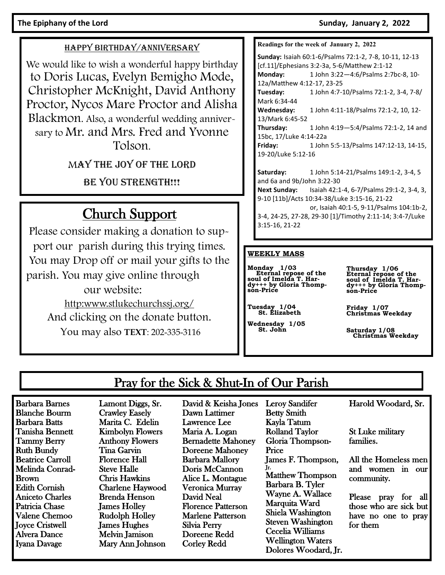#### The Epiphany of the Lord **Sunday, January 2, 2022**

#### HAPPY BIRTHDAY/ANNIVERSARY

We would like to wish a wonderful happy birthday to Doris Lucas, Evelyn Bemigho Mode, Christopher McKnight, David Anthony Proctor, Nycos Mare Proctor and Alisha Blackmon. Also, a wonderful wedding anniversary to Mr. and Mrs. Fred and Yvonne Tolson.

MAY THE JOY OF THE LORD

BE YOU STRENGTH!!!

## Church Support

Please consider making a donation to support our parish during this trying times. You may Drop off or mail your gifts to the parish. You may give online through our website: [http:www.stlukechurchssj.org/](http://www.stlukechurchssj.org/) And clicking on the donate button. You may also **TEXT**: 202-335-3116

**Readings for the week of January 2, 2022**

**Sunday:** Isaiah 60:1-6/Psalms 72:1-2, 7-8, 10-11, 12-13 [cf.11]/Ephesians 3:2-3a, 5-6/Matthew 2:1-12 **Monday:** 1 John 3:22—4:6/Psalms 2:7bc-8, 10- 12a/Matthew 4:12-17, 23-25 **Tuesday:** 1 John 4:7-10/Psalms 72:1-2, 3-4, 7-8/ Mark 6:34-44 **Wednesday:** 1 John 4:11-18/Psalms 72:1-2, 10, 12- 13/Mark 6:45-52 **Thursday:** 1 John 4:19—5:4/Psalms 72:1-2, 14 and 15bc, 17/Luke 4:14-22a **Friday:** 1 John 5:5-13/Psalms 147:12-13, 14-15, 19-20/Luke 5:12-16 **Saturday:** 1 John 5:14-21/Psalms 149:1-2, 3-4, 5

and 6a and 9b/John 3:22-30 **Next Sunday:** Isaiah 42:1-4, 6-7/Psalms 29:1-2, 3-4, 3, 9-10 [11b]/Acts 10:34-38/Luke 3:15-16, 21-22

or, Isaiah 40:1-5, 9-11/Psalms 104:1b-2, 3-4, 24-25, 27-28, 29-30 [1]/Timothy 2:11-14; 3:4-7/Luke 3:15-16, 21-22

#### **WEEKLY MASS**

**Monday 1/03 Eternal repose of the soul of Imelda T. Hardy+++ by Gloria Thomp-son-Price**

**Tuesday 1/04 St. Elizabeth**

**Wednesday 1/05 St. John**

**Thursday 1/06 Eternal repose of the soul of Imelda T. Har-dy+++ by Gloria Thomp-son-Price** 

**Friday 1/07 Christmas Weekday**

**Saturday 1/08 Christmas Weekday**

## Pray for the Sick & Shut-In of Our Parish

Barbara Barnes Blanche Bourm Barbara Batts Tanisha Bennett Tammy Berry Ruth Bundy Beatrice Carroll Melinda Conrad-Brown Edith Cornish Aniceto Charles Patricia Chase Valene Chemoo Joyce Cristwell Alvera Dance Iyana Davage

Lamont Diggs, Sr. Crawley Easely Marita C. Edelin Kimbolyn Flowers Anthony Flowers Tina Garvin Florence Hall Steve Halle Chris Hawkins Charlene Haywood Brenda Henson James Holley Rudolph Holley James Hughes Melvin Jamison Mary Ann Johnson

David & Keisha Jones Dawn Lattimer Lawrence Lee Maria A. Logan Bernadette Mahoney Doreene Mahoney Barbara Mallory Doris McCannon Alice L. Montague Veronica Murray David Neal Florence Patterson Marlene Patterson Silvia Perry Doreene Redd Corley Redd

Betty Smith Kayla Tatum Rolland Taylor Gloria Thompson-Price James F. Thompson, Jr. Matthew Thompson Barbara B. Tyler Wayne A. Wallace Marquita Ward Shiela Washington Steven Washington Cecelia Williams Wellington Waters Dolores Woodard, Jr.

Leroy Sandifer

Harold Woodard, Sr.

St Luke military families.

All the Homeless men and women in our community.

Please pray for all those who are sick but have no one to pray for them